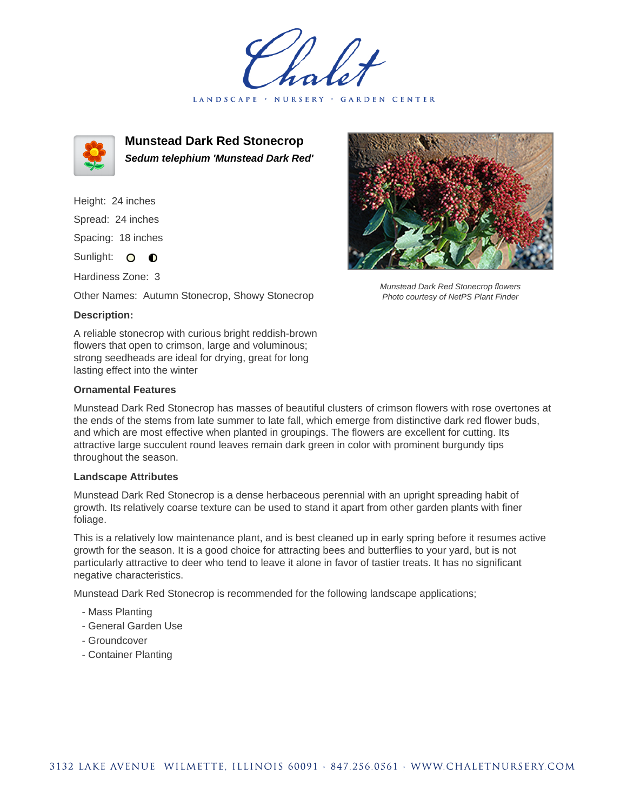LANDSCAPE · NURSERY · GARDEN CENTER



**Munstead Dark Red Stonecrop Sedum telephium 'Munstead Dark Red'**

Height: 24 inches Spread: 24 inches Spacing: 18 inches Sunlight: O **O** 

Hardiness Zone: 3

Other Names: Autumn Stonecrop, Showy Stonecrop

## **Description:**

A reliable stonecrop with curious bright reddish-brown flowers that open to crimson, large and voluminous; strong seedheads are ideal for drying, great for long lasting effect into the winter

## **Ornamental Features**

Munstead Dark Red Stonecrop has masses of beautiful clusters of crimson flowers with rose overtones at the ends of the stems from late summer to late fall, which emerge from distinctive dark red flower buds, and which are most effective when planted in groupings. The flowers are excellent for cutting. Its attractive large succulent round leaves remain dark green in color with prominent burgundy tips throughout the season.

## **Landscape Attributes**

Munstead Dark Red Stonecrop is a dense herbaceous perennial with an upright spreading habit of growth. Its relatively coarse texture can be used to stand it apart from other garden plants with finer foliage.

This is a relatively low maintenance plant, and is best cleaned up in early spring before it resumes active growth for the season. It is a good choice for attracting bees and butterflies to your yard, but is not particularly attractive to deer who tend to leave it alone in favor of tastier treats. It has no significant negative characteristics.

Munstead Dark Red Stonecrop is recommended for the following landscape applications;

- Mass Planting
- General Garden Use
- Groundcover
- Container Planting



Munstead Dark Red Stonecrop flowers Photo courtesy of NetPS Plant Finder